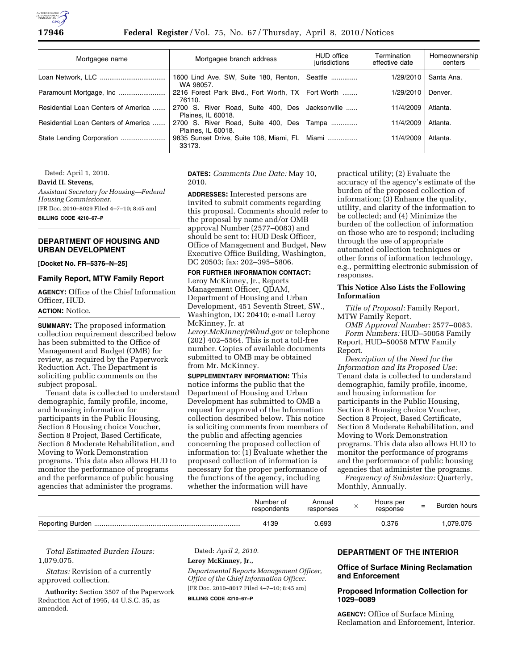

| Mortgagee name                      | Mortgagee branch address                                      | HUD office<br>jurisdictions | Termination<br>effective date | Homeownership<br>centers |
|-------------------------------------|---------------------------------------------------------------|-----------------------------|-------------------------------|--------------------------|
|                                     | 1600 Lind Ave. SW, Suite 180, Renton, Seattle<br>WA 98057.    |                             | 1/29/2010                     | Santa Ana.               |
|                                     | 2216 Forest Park Blvd., Fort Worth, TX   Fort Worth<br>76110. |                             | 1/29/2010                     | Denver.                  |
| Residential Loan Centers of America | 2700 S. River Road, Suite 400, Des<br>Plaines, IL 60018.      | Jacksonville                | 11/4/2009                     | Atlanta.                 |
| Residential Loan Centers of America | 2700 S. River Road, Suite 400, Des<br>Plaines. IL 60018.      | Tampa                       | 11/4/2009                     | Atlanta.                 |
|                                     | 9835 Sunset Drive, Suite 108, Miami, FL<br>33173.             | Miami                       | 11/4/2009                     | Atlanta.                 |

Dated: April 1, 2010.

**David H. Stevens,** 

*Assistant Secretary for Housing—Federal Housing Commissioner.*  [FR Doc. 2010–8029 Filed 4–7–10; 8:45 am] **BILLING CODE 4210–67–P** 

**DEPARTMENT OF HOUSING AND URBAN DEVELOPMENT** 

**[Docket No. FR–5376–N–25]** 

## **Family Report, MTW Family Report**

**AGENCY:** Office of the Chief Information Officer, HUD.

**ACTION:** Notice.

**SUMMARY:** The proposed information collection requirement described below has been submitted to the Office of Management and Budget (OMB) for review, as required by the Paperwork Reduction Act. The Department is soliciting public comments on the subject proposal.

Tenant data is collected to understand demographic, family profile, income, and housing information for participants in the Public Housing, Section 8 Housing choice Voucher, Section 8 Project, Based Certificate, Section 8 Moderate Rehabilitation, and Moving to Work Demonstration programs. This data also allows HUD to monitor the performance of programs and the performance of public housing agencies that administer the programs.

**DATES:** *Comments Due Date:* May 10, 2010.

**ADDRESSES:** Interested persons are invited to submit comments regarding this proposal. Comments should refer to the proposal by name and/or OMB approval Number (2577–0083) and should be sent to: HUD Desk Officer, Office of Management and Budget, New Executive Office Building, Washington, DC 20503; fax: 202–395–5806.

#### **FOR FURTHER INFORMATION CONTACT:**

Leroy McKinney, Jr., Reports Management Officer, QDAM, Department of Housing and Urban Development, 451 Seventh Street, SW., Washington, DC 20410; e-mail Leroy McKinney, Jr. at *Leroy.McKinneyJr@hud.gov* or telephone (202) 402–5564. This is not a toll-free number. Copies of available documents submitted to OMB may be obtained from Mr. McKinney.

**SUPPLEMENTARY INFORMATION:** This notice informs the public that the Department of Housing and Urban Development has submitted to OMB a request for approval of the Information collection described below. This notice is soliciting comments from members of the public and affecting agencies concerning the proposed collection of information to: (1) Evaluate whether the proposed collection of information is necessary for the proper performance of the functions of the agency, including whether the information will have

practical utility; (2) Evaluate the accuracy of the agency's estimate of the burden of the proposed collection of information; (3) Enhance the quality, utility, and clarity of the information to be collected; and (4) Minimize the burden of the collection of information on those who are to respond; including through the use of appropriate automated collection techniques or other forms of information technology, e.g., permitting electronic submission of responses.

## **This Notice Also Lists the Following Information**

*Title of Proposal:* Family Report, MTW Family Report.

*OMB Approval Number:* 2577–0083. *Form Numbers:* HUD–50058 Family Report, HUD–50058 MTW Family Report.

*Description of the Need for the Information and Its Proposed Use:*  Tenant data is collected to understand demographic, family profile, income, and housing information for participants in the Public Housing, Section 8 Housing choice Voucher, Section 8 Project, Based Certificate, Section 8 Moderate Rehabilitation, and Moving to Work Demonstration programs. This data also allows HUD to monitor the performance of programs and the performance of public housing agencies that administer the programs.

*Frequency of Submission:* Quarterly, Monthly, Annually.

| Number of<br>respondents | Annual<br>responses | Hours per<br>response | = | Burden hours |
|--------------------------|---------------------|-----------------------|---|--------------|
| 4139                     | 0.693               | 0.376                 |   | 1,079.075    |

*Total Estimated Burden Hours:*  1,079.075.

*Status:* Revision of a currently approved collection.

**Authority:** Section 3507 of the Paperwork Reduction Act of 1995, 44 U.S.C. 35, as amended.

Dated: *April 2, 2010.* 

## **Leroy McKinney, Jr.,**

*Departmental Reports Management Officer, Office of the Chief Information Officer.*  [FR Doc. 2010–8017 Filed 4–7–10; 8:45 am]

**BILLING CODE 4210–67–P** 

#### **DEPARTMENT OF THE INTERIOR**

## **Office of Surface Mining Reclamation and Enforcement**

#### **Proposed Information Collection for 1029–0089**

**AGENCY:** Office of Surface Mining Reclamation and Enforcement, Interior.